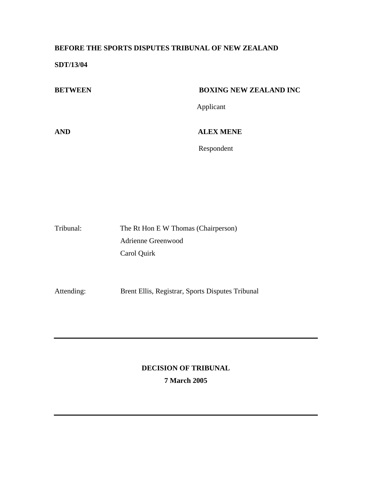# **BEFORE THE SPORTS DISPUTES TRIBUNAL OF NEW ZEALAND**

**SDT/13/04** 

| <b>BETWEEN</b> | <b>BOXING NEW ZEALAND INC</b> |
|----------------|-------------------------------|
|                | Applicant                     |
| <b>AND</b>     | <b>ALEX MENE</b>              |
|                | Respondent                    |
|                |                               |

| Tribunal: | The Rt Hon E W Thomas (Chairperson) |
|-----------|-------------------------------------|
|           | Adrienne Greenwood                  |
|           | Carol Quirk                         |

Attending: Brent Ellis, Registrar, Sports Disputes Tribunal

# **DECISION OF TRIBUNAL 7 March 2005**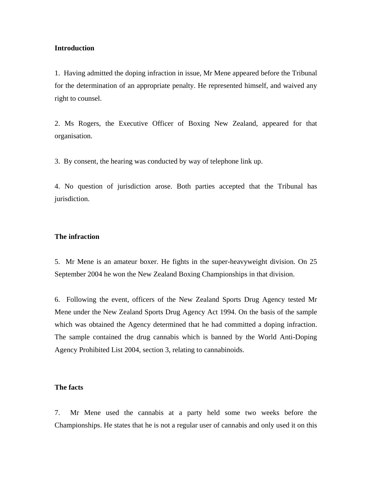### **Introduction**

1. Having admitted the doping infraction in issue, Mr Mene appeared before the Tribunal for the determination of an appropriate penalty. He represented himself, and waived any right to counsel.

2. Ms Rogers, the Executive Officer of Boxing New Zealand, appeared for that organisation.

3. By consent, the hearing was conducted by way of telephone link up.

4. No question of jurisdiction arose. Both parties accepted that the Tribunal has jurisdiction.

### **The infraction**

5. Mr Mene is an amateur boxer. He fights in the super-heavyweight division. On 25 September 2004 he won the New Zealand Boxing Championships in that division.

6. Following the event, officers of the New Zealand Sports Drug Agency tested Mr Mene under the New Zealand Sports Drug Agency Act 1994. On the basis of the sample which was obtained the Agency determined that he had committed a doping infraction. The sample contained the drug cannabis which is banned by the World Anti-Doping Agency Prohibited List 2004, section 3, relating to cannabinoids.

# **The facts**

7. Mr Mene used the cannabis at a party held some two weeks before the Championships. He states that he is not a regular user of cannabis and only used it on this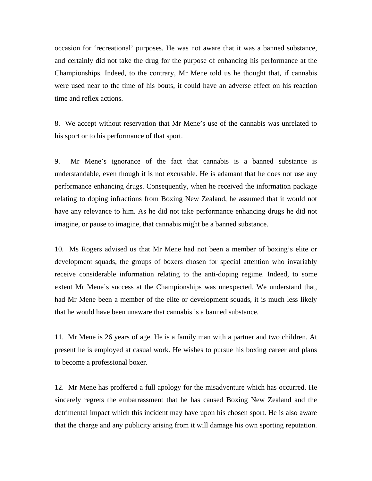occasion for 'recreational' purposes. He was not aware that it was a banned substance, and certainly did not take the drug for the purpose of enhancing his performance at the Championships. Indeed, to the contrary, Mr Mene told us he thought that, if cannabis were used near to the time of his bouts, it could have an adverse effect on his reaction time and reflex actions.

8. We accept without reservation that Mr Mene's use of the cannabis was unrelated to his sport or to his performance of that sport.

9. Mr Mene's ignorance of the fact that cannabis is a banned substance is understandable, even though it is not excusable. He is adamant that he does not use any performance enhancing drugs. Consequently, when he received the information package relating to doping infractions from Boxing New Zealand, he assumed that it would not have any relevance to him. As he did not take performance enhancing drugs he did not imagine, or pause to imagine, that cannabis might be a banned substance.

10. Ms Rogers advised us that Mr Mene had not been a member of boxing's elite or development squads, the groups of boxers chosen for special attention who invariably receive considerable information relating to the anti-doping regime. Indeed, to some extent Mr Mene's success at the Championships was unexpected. We understand that, had Mr Mene been a member of the elite or development squads, it is much less likely that he would have been unaware that cannabis is a banned substance.

11. Mr Mene is 26 years of age. He is a family man with a partner and two children. At present he is employed at casual work. He wishes to pursue his boxing career and plans to become a professional boxer.

12. Mr Mene has proffered a full apology for the misadventure which has occurred. He sincerely regrets the embarrassment that he has caused Boxing New Zealand and the detrimental impact which this incident may have upon his chosen sport. He is also aware that the charge and any publicity arising from it will damage his own sporting reputation.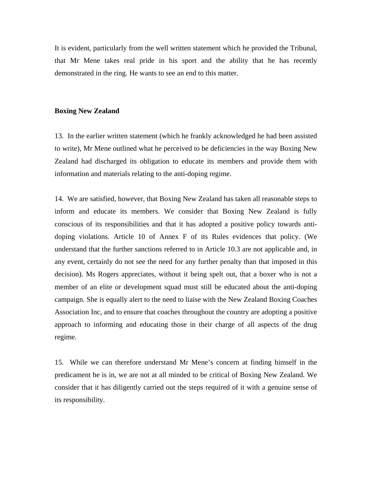It is evident, particularly from the well written statement which he provided the Tribunal, that Mr Mene takes real pride in his sport and the ability that he has recently demonstrated in the ring. He wants to see an end to this matter.

#### **Boxing New Zealand**

13. In the earlier written statement (which he frankly acknowledged he had been assisted to write), Mr Mene outlined what he perceived to be deficiencies in the way Boxing New Zealand had discharged its obligation to educate its members and provide them with information and materials relating to the anti-doping regime.

14. We are satisfied, however, that Boxing New Zealand has taken all reasonable steps to inform and educate its members. We consider that Boxing New Zealand is fully conscious of its responsibilities and that it has adopted a positive policy towards antidoping violations. Article 10 of Annex F of its Rules evidences that policy. (We understand that the further sanctions referred to in Article 10.3 are not applicable and, in any event, certainly do not see the need for any further penalty than that imposed in this decision). Ms Rogers appreciates, without it being spelt out, that a boxer who is not a member of an elite or development squad must still be educated about the anti-doping campaign. She is equally alert to the need to liaise with the New Zealand Boxing Coaches Association Inc, and to ensure that coaches throughout the country are adopting a positive approach to informing and educating those in their charge of all aspects of the drug regime.

15. While we can therefore understand Mr Mene's concern at finding himself in the predicament he is in, we are not at all minded to be critical of Boxing New Zealand. We consider that it has diligently carried out the steps required of it with a genuine sense of its responsibility.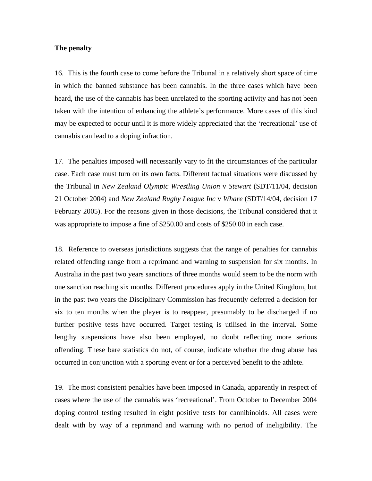## **The penalty**

16. This is the fourth case to come before the Tribunal in a relatively short space of time in which the banned substance has been cannabis. In the three cases which have been heard, the use of the cannabis has been unrelated to the sporting activity and has not been taken with the intention of enhancing the athlete's performance. More cases of this kind may be expected to occur until it is more widely appreciated that the 'recreational' use of cannabis can lead to a doping infraction.

17. The penalties imposed will necessarily vary to fit the circumstances of the particular case. Each case must turn on its own facts. Different factual situations were discussed by the Tribunal in *New Zealand Olympic Wrestling Union* v *Stewart* (SDT/11/04, decision 21 October 2004) and *New Zealand Rugby League Inc* v *Whare* (SDT/14/04, decision 17 February 2005). For the reasons given in those decisions, the Tribunal considered that it was appropriate to impose a fine of \$250.00 and costs of \$250.00 in each case.

18. Reference to overseas jurisdictions suggests that the range of penalties for cannabis related offending range from a reprimand and warning to suspension for six months. In Australia in the past two years sanctions of three months would seem to be the norm with one sanction reaching six months. Different procedures apply in the United Kingdom, but in the past two years the Disciplinary Commission has frequently deferred a decision for six to ten months when the player is to reappear, presumably to be discharged if no further positive tests have occurred. Target testing is utilised in the interval. Some lengthy suspensions have also been employed, no doubt reflecting more serious offending. These bare statistics do not, of course, indicate whether the drug abuse has occurred in conjunction with a sporting event or for a perceived benefit to the athlete.

19. The most consistent penalties have been imposed in Canada, apparently in respect of cases where the use of the cannabis was 'recreational'. From October to December 2004 doping control testing resulted in eight positive tests for cannibinoids. All cases were dealt with by way of a reprimand and warning with no period of ineligibility. The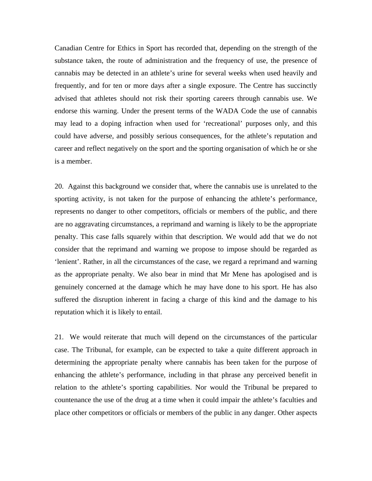Canadian Centre for Ethics in Sport has recorded that, depending on the strength of the substance taken, the route of administration and the frequency of use, the presence of cannabis may be detected in an athlete's urine for several weeks when used heavily and frequently, and for ten or more days after a single exposure. The Centre has succinctly advised that athletes should not risk their sporting careers through cannabis use. We endorse this warning. Under the present terms of the WADA Code the use of cannabis may lead to a doping infraction when used for 'recreational' purposes only, and this could have adverse, and possibly serious consequences, for the athlete's reputation and career and reflect negatively on the sport and the sporting organisation of which he or she is a member.

20. Against this background we consider that, where the cannabis use is unrelated to the sporting activity, is not taken for the purpose of enhancing the athlete's performance, represents no danger to other competitors, officials or members of the public, and there are no aggravating circumstances, a reprimand and warning is likely to be the appropriate penalty. This case falls squarely within that description. We would add that we do not consider that the reprimand and warning we propose to impose should be regarded as 'lenient'. Rather, in all the circumstances of the case, we regard a reprimand and warning as the appropriate penalty. We also bear in mind that Mr Mene has apologised and is genuinely concerned at the damage which he may have done to his sport. He has also suffered the disruption inherent in facing a charge of this kind and the damage to his reputation which it is likely to entail.

21. We would reiterate that much will depend on the circumstances of the particular case. The Tribunal, for example, can be expected to take a quite different approach in determining the appropriate penalty where cannabis has been taken for the purpose of enhancing the athlete's performance, including in that phrase any perceived benefit in relation to the athlete's sporting capabilities. Nor would the Tribunal be prepared to countenance the use of the drug at a time when it could impair the athlete's faculties and place other competitors or officials or members of the public in any danger. Other aspects